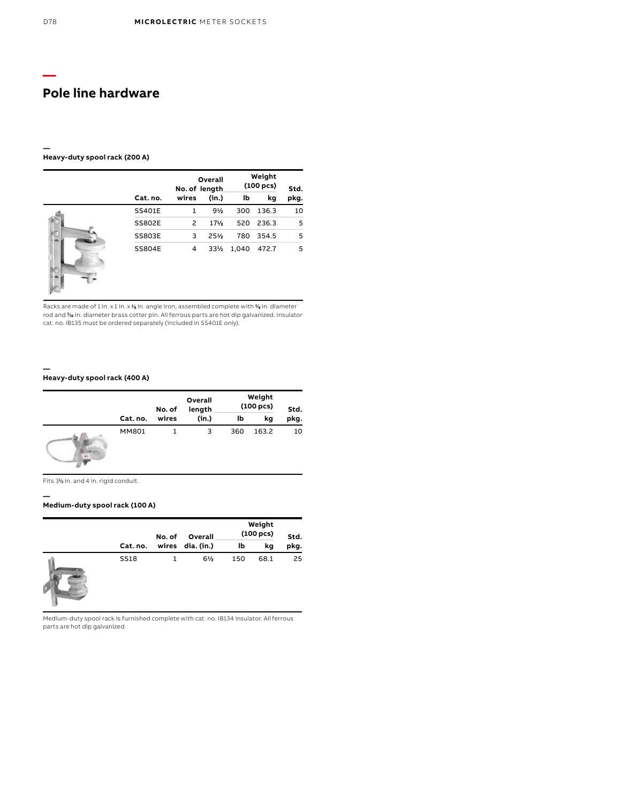#### **— Heavy-duty spool rack (200 A)**

|               |       | Overall<br>No. of length. |       | Weight<br>$(100 \text{ pcs})$ |      |
|---------------|-------|---------------------------|-------|-------------------------------|------|
| Cat. no.      | wires | (in.)                     | lb    | kg                            | pkg. |
| <b>SS401E</b> | 1     | $9\frac{1}{2}$            | 300   | 136.3                         | 10   |
| <b>SS802E</b> | 2     | 17 <sub>2</sub>           |       | 520 236.3                     | 5    |
| <b>SS803E</b> | 3     | 25%                       | 780   | 354.5                         | 5    |
| <b>SS804E</b> | 4     | 33/2                      | 1,040 | 472.7                         | 5    |

Racks are made of 1 in. x 1 in. x 1/<sub>8</sub> in. angle iron, assembled complete with % in. diameter rod and ‰ in. diameter brass cotter pin. All ferrous parts are hot dip galvanized. Insulator<br>cat. no. IB135 must be ordered separately (included in SS401E only).

### **Heavy-duty spool rack (400 A)**

|              | No. of | Overall<br>length | Weight<br>(100 pcs) |       | Std. |
|--------------|--------|-------------------|---------------------|-------|------|
| Cat. no.     | wires  | (in.)             | lb                  | kg    | pkg. |
| <b>MM801</b> |        | 3                 | 360                 | 163.2 | 10   |

Fits 31 ⁄2 in. and 4 in. rigid conduit.

**—**

**—**

## **Medium-duty spool rack (100 A)**

|             | No. of | Overall        |     | Weight<br>(100 pcs) | Std. |
|-------------|--------|----------------|-----|---------------------|------|
| Cat. no.    | wires  | dia. (in.)     | lb  | kg                  | pkg. |
| <b>SS18</b> |        | $6\frac{1}{2}$ | 150 | 68.1                | 25   |

Medium-duty spool rack is furnished complete with cat. no. IB134 insulator. All ferrous parts are hot dip galvanized.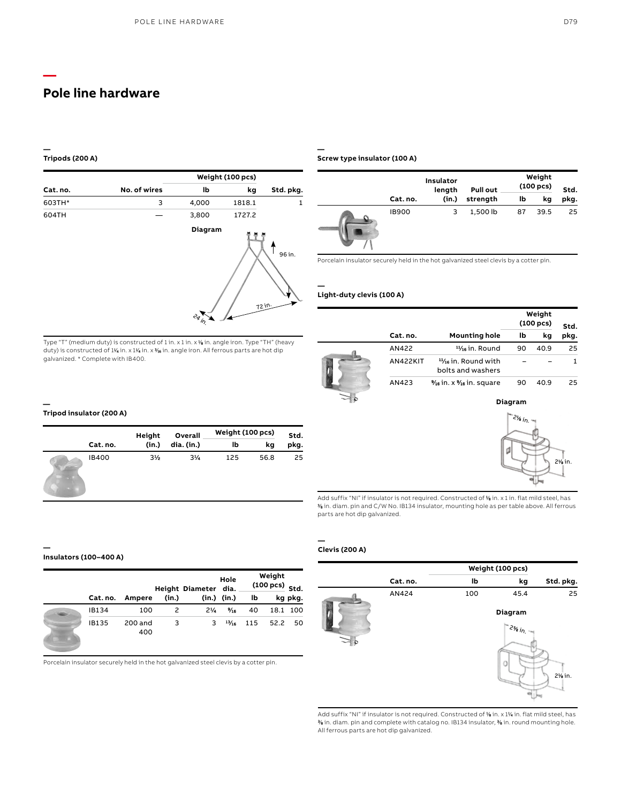#### **— Tripods (200 A)**

**—**

|          |              | Weight (100 pcs)           |        |                     |  |  |  |  |
|----------|--------------|----------------------------|--------|---------------------|--|--|--|--|
| Cat. no. | No. of wires | lb                         | kg     | Std. pkg.           |  |  |  |  |
| 603TH*   | 3            | 4,000                      | 1818.1 | 1                   |  |  |  |  |
| 604TH    |              | 3,800                      | 1727.2 |                     |  |  |  |  |
|          |              | Diagram<br>$e_{q_{j_{r}}}$ |        | 96 in.<br>$72^{10}$ |  |  |  |  |

Type "T" (medium duty) is constructed of 1 in. x 1 in. x 1 ⁄8 in. angle iron. Type "TH" (heavy duty) is constructed of 1¼ in. x 1¼ in. x ¾ in. angle iron. All ferrous parts are hot dip

**— Screw type insulator (100 A)**

|              | Insulator<br>length | <b>Pull out</b> | Weight<br>$(100 \text{ pcs})$ |      | Std. |  |
|--------------|---------------------|-----------------|-------------------------------|------|------|--|
| Cat. no.     | (in.)               | strength        | Ib                            | kg   | pkg. |  |
| <b>IB900</b> | 3                   | 1,500 lb        | 87                            | 39.5 | 25   |  |

Porcelain insulator securely held in the hot galvanized steel clevis by a cotter pin.

### **Light-duty clevis (100 A)**

**—**

|  |                 |                                                     | Weight<br>$(100 \text{ pcs})$ | Std. |      |
|--|-----------------|-----------------------------------------------------|-------------------------------|------|------|
|  | Cat. no.        | <b>Mounting hole</b>                                | lb                            | kq   | pkg. |
|  | AN422           | $\frac{11}{16}$ in. Round                           | 90                            | 40.9 | 25   |
|  | <b>AN422KIT</b> | $1\frac{1}{16}$ in. Round with<br>bolts and washers |                               |      |      |
|  | AN423           | % in. x % in. square                                | 90                            | 40.9 | 25   |
|  |                 |                                                     | Diagram                       |      |      |

2½ i<sub>n.</sub>

21 ⁄8 in.

## **Tripod insulator (200 A)**

galvanized. \* Complete with IB400.

**—**

|          | Height         | Overall        | Weight (100 pcs) |      | Std. |  |
|----------|----------------|----------------|------------------|------|------|--|
| Cat. no. | (in.)          | dia. (in.)     | lb               | kq   | pkg. |  |
| IB400    | $3\frac{1}{2}$ | $3\frac{1}{4}$ | 125              | 56.8 | 25   |  |

#### **— Insulators (100–400 A)**

|          |                |       | Height Diameter dia. | Hole            |     | Weight<br>$(100 \text{ pcs})$ Std. |         |
|----------|----------------|-------|----------------------|-----------------|-----|------------------------------------|---------|
| Cat. no. | Ampere         | (in.) |                      | $(in.)$ $(in.)$ | lb  |                                    | kg pkg. |
| IB134    | 100            | 2     | $2\frac{1}{4}$       | $\frac{9}{16}$  | 40  | 18.1                               | 100     |
| IB135    | 200 and<br>400 | 3     | 3                    | $^{13/16}$      | 115 | 52.2                               | 50      |

Porcelain insulator securely held in the hot galvanized steel clevis by a cotter pin.

## **Clevis (200 A)**

**—**

parts are hot dip galvanized.



Add suffix "NI" if insulator is not required. Constructed of 1 ⁄8 in. x 1 in. flat mild steel, has 3 ⁄8 in. diam. pin and C/W No. IB134 insulator, mounting hole as per table above. All ferrous

Add suffix "NI" if insulator is not required. Constructed of 1 ⁄8 in. x 11 ⁄4 in. flat mild steel, has 3 ⁄8 in. diam. pin and complete with catalog no. IB134 insulator, 3 ⁄8 in. round mounting hole. All ferrous parts are hot dip galvanized.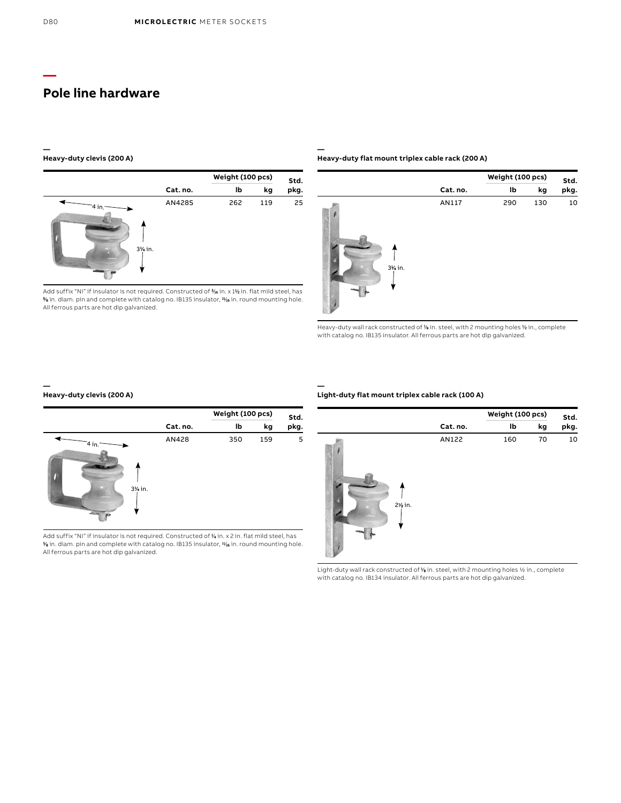#### **— Heavy-duty clevis (200 A)**



Add suffix "NI" if insulator is not required. Constructed of 3 ⁄16 in. x 11 ⁄2 in. flat mild steel, has  $\%$  in. diam. pin and complete with catalog no. IB135 insulator,  $\mathit{W}_{\mathbf{6}}$  in. round mounting hole. All ferrous parts are hot dip galvanized.

#### **— Heavy-duty flat mount triplex cable rack (200 A)**



Heavy-duty wall rack constructed of % in. steel, with 2 mounting holes % in., complete with catalog no. IB135 insulator. All ferrous parts are hot dip galvanized.

## **Heavy-duty clevis (200 A)**

**—**



Add suffix "NI" if insulator is not required. Constructed of **½** in. x 2 in. flat mild steel, has<br>% in. diam. pin and complete with catalog no. IB135 insulator, **1⁄16** in. round mounting hole. All ferrous parts are hot dip galvanized.

## **Light-duty flat mount triplex cable rack (100 A)**

**—**



Light-duty wall rack constructed of % in. steel, with 2 mounting holes 1/2 in., complete with catalog no. IB134 insulator. All ferrous parts are hot dip galvanized.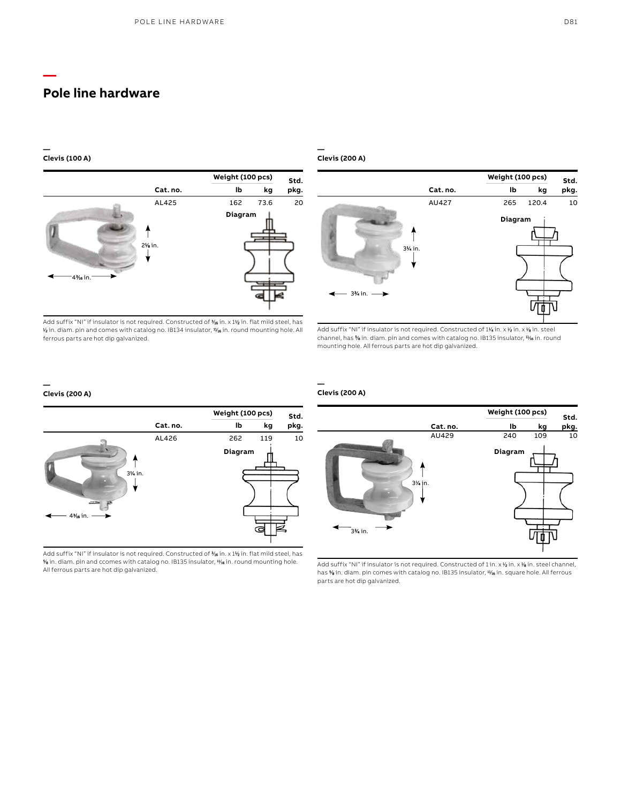#### **— Clevis (100 A)**

**—**



Add suffix "NI" if insulator is not required. Constructed of 3 ⁄16 in. x 11 ⁄2 in. flat mild steel, has  $\gamma$  in. diam. pin and comes with catalog no. IB134 insulator,  $\nu_{\rm{16}}$  in. round mounting hole. All ferrous parts are hot dip galvanized.

#### **— Clevis (200 A)**



Add suffix "NI" if insulator is not required. Constructed of 1¼ in. x ½ in. x ½ in. steel channel, has % in. diam. pin and comes with catalog no. IB135 insulator,  $\frac{1}{16}$  in. round mounting hole. All ferrous parts are hot dip galvanized.

#### **— Clevis (200 A)**



Add suffix "NI" if insulator is not required. Constructed of 1 in. x 1 ⁄2 in. x 1 ⁄8 in. steel channel, has % in. diam. pin comes with catalog no. IB135 insulator, 4% in. square hole. All ferrous parts are hot dip galvanized.

#### **— Clevis (200 A)**



Add suffix "NI" if insulator is not required. Constructed of 3 ⁄16 in. x 11 ⁄2 in. flat mild steel, has 5 ⁄8 in. diam. pin and ccomes with catalog no. IB135 insulator, 11⁄16 in. round mounting hole. All ferrous parts are hot dip galvanized.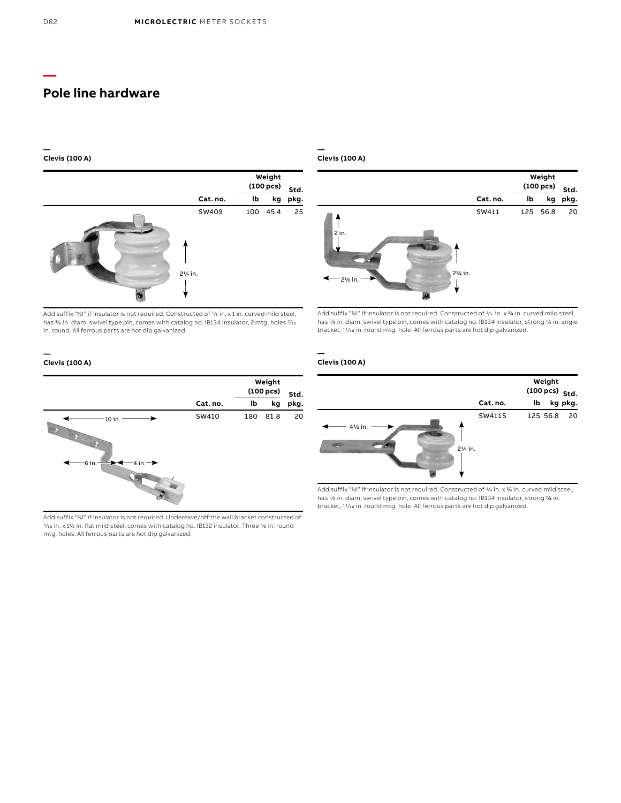#### **— Clevis (100 A)**



Add suffix "NI" if insulator is not required. Constructed of 1/8 in. x 1 in. curved mild steel, has  $\frac{3}{6}$  in. diam. swivel type pin, comes with catalog no. IB134 insulator, 2 mtg. holes  $\frac{7}{16}$ in. round. All ferrous parts are hot dip galvanized.

#### **— Clevis (100 A)**



Add suffix "NI" if insulator is not required. Constructed of 1/8 in. x 3/4 in. curved mild steel, has % in. diam. swivel type pin, comes with catalog no. IB134 insulator, strong % in. angle bracket, 11/16 in. round mtg. hole. All ferrous parts are hot dip galvanized.

## **Clevis (100 A)**

**—**



Add suffix "NI" if insulator is not required. Undereave/off the wall bracket constructed of 3/16 in. x 11/2 in. flat mild steel, comes with catalog no. IB132 insulator. Three 3/8 in. round mtg. holes. All ferrous parts are hot dip galvanized.

#### **Clevis (100 A)**

**—**



Add suffix "NI" if insulator is not required. Constructed of 1/8 in. x 3/4 in. curved mild steel, has % in. diam. swivel type pin, comes with catalog no. IB134 insulator, strong % in. bracket, 11/16 in. round mtg. hole. All ferrous parts are hot dip galvanized.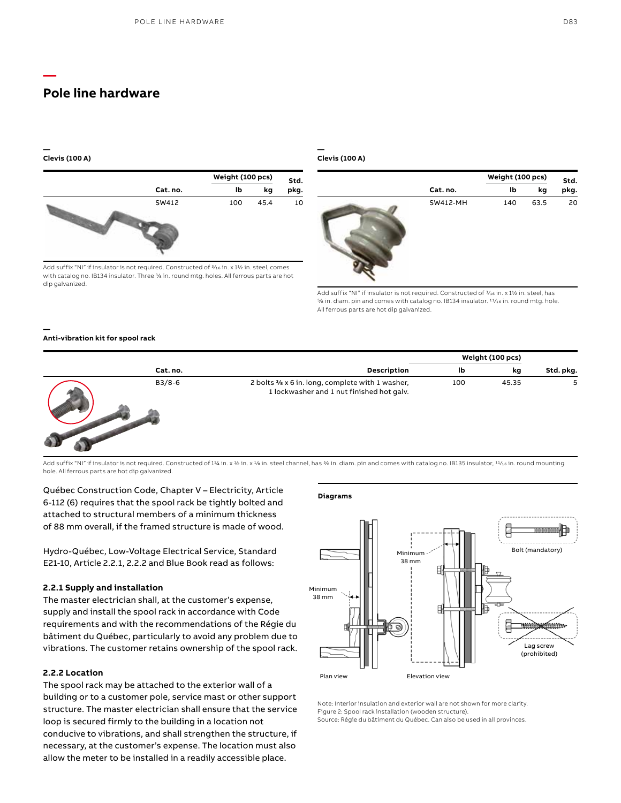#### **— Clevis (100 A)**

**—**

**—**



Add suffix "NI" if insulator is not required. Constructed of  $\frac{3}{16}$  in. x 1½ in. steel, comes with catalog no. IB134 insulator. Three % in. round mtg. holes. All ferrous parts are hot dip galvanized.

#### **— Clevis (100 A)**



Add suffix "NI" if insulator is not required. Constructed of  $\frac{3}{16}$  in. x 11/2 in. steel, has 5/8 in. diam. pin and comes with catalog no. IB134 insulator. 11/16 in. round mtg. hole. All ferrous parts are hot dip galvanized.

### **Anti-vibration kit for spool rack**



Add suffix "NI" if insulator is not required. Constructed of 11/4 in. x 1/2 in. x 1/8 in. steel channel, has <sup>5</sup>/8 in. diam. pin and comes with catalog no. IB135 insulator, <sup>11</sup>/16 in. round mounting hole. All ferrous parts are hot dip galvanized.

Québec Construction Code, Chapter V – Electricity, Article 6-112 (6) requires that the spool rack be tightly bolted and attached to structural members of a minimum thickness of 88 mm overall, if the framed structure is made of wood.

Hydro-Québec, Low-Voltage Electrical Service, Standard E21-10, Article 2.2.1, 2.2.2 and Blue Book read as follows:

### **2.2.1 Supply and installation**

The master electrician shall, at the customer's expense, supply and install the spool rack in accordance with Code requirements and with the recommendations of the Régie du bâtiment du Québec, particularly to avoid any problem due to vibrations. The customer retains ownership of the spool rack.

## **2.2.2 Location**

The spool rack may be attached to the exterior wall of a building or to a customer pole, service mast or other support structure. The master electrician shall ensure that the service loop is secured firmly to the building in a location not conducive to vibrations, and shall strengthen the structure, if necessary, at the customer's expense. The location must also allow the meter to be installed in a readily accessible place.

## **Diagrams**



Note: Interior insulation and exterior wall are not shown for more clarity. Figure 2: Spool rack installation (wooden structure). Source: Régie du bâtiment du Québec. Can also be used in all provinces.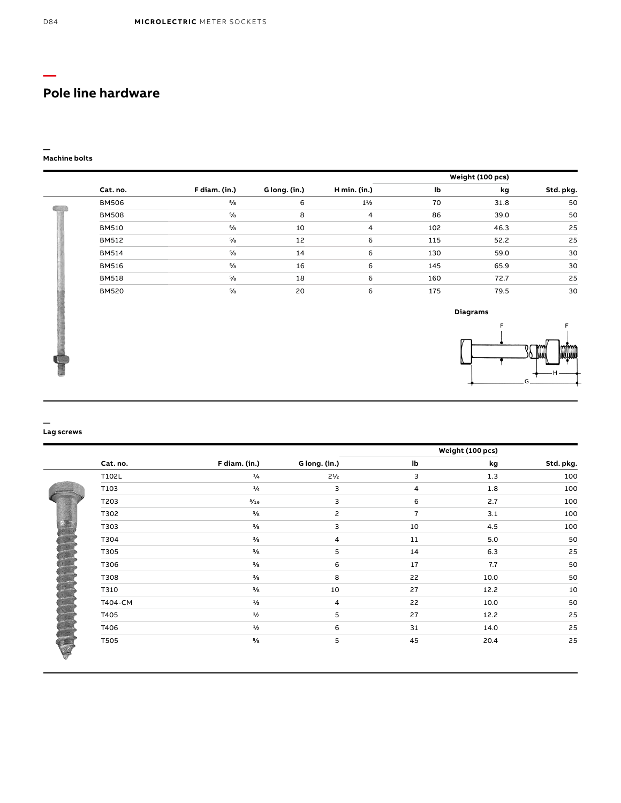#### **— Machine bolts**

|              |               |               |                |     | Weight (100 pcs) |           |
|--------------|---------------|---------------|----------------|-----|------------------|-----------|
| Cat. no.     | F diam. (in.) | G long. (in.) | H min. (in.)   | lb  | kg               | Std. pkg. |
| <b>BM506</b> | $\frac{5}{8}$ | 6             | $1\frac{1}{2}$ | 70  | 31.8             | 50        |
| <b>BM508</b> | $\frac{5}{8}$ | 8             | $\overline{4}$ | 86  | 39.0             | 50        |
| <b>BM510</b> | $\frac{5}{8}$ | 10            | $\overline{4}$ | 102 | 46.3             | 25        |
| <b>BM512</b> | $\frac{5}{8}$ | 12            | 6              | 115 | 52.2             | 25        |
| <b>BM514</b> | $\frac{5}{8}$ | 14            | 6              | 130 | 59.0             | 30        |
| <b>BM516</b> | $\frac{5}{8}$ | 16            | 6              | 145 | 65.9             | 30        |
| <b>BM518</b> | $\frac{5}{8}$ | 18            | 6              | 160 | 72.7             | 25        |
| <b>BM520</b> | $\frac{5}{8}$ | 20            | 6              | 175 | 79.5             | 30        |



#### **— Lag screws**

|          |          |               |               | Weight (100 pcs) |      |           |  |
|----------|----------|---------------|---------------|------------------|------|-----------|--|
|          | Cat. no. | F diam. (in.) | G long. (in.) | lb               | kg   | Std. pkg. |  |
|          | T102L    | $^{1}/_{4}$   | $2^{1/2}$     | 3                | 1.3  | 100       |  |
|          | T103     | $^{1}/_{4}$   | 3             | 4                | 1.8  | 100       |  |
|          | T203     | 5/16          | 3             | 6                | 2.7  | 100       |  |
|          | T302     | $^{3}/_{8}$   | 2             | $\overline{7}$   | 3.1  | 100       |  |
|          | T303     | $^{3}/_{8}$   | 3             | 10               | 4.5  | 100       |  |
|          | T304     | $^{3}/_{8}$   | 4             | 11               | 5.0  | 50        |  |
|          | T305     | $^{3}/_{8}$   | 5             | 14               | 6.3  | 25        |  |
|          | T306     | $\frac{3}{8}$ | 6             | 17               | 7.7  | 50        |  |
| JUNITI I | T308     | $^{3}/_{8}$   | 8             | 22               | 10.0 | 50        |  |
|          | T310     | $^{3}/_{8}$   | 10            | 27               | 12.2 | 10        |  |
|          | T404-CM  | $\frac{1}{2}$ | 4             | 22               | 10.0 | 50        |  |
|          | T405     | 1/2           | 5             | 27               | 12.2 | 25        |  |
|          | T406     | $\frac{1}{2}$ | 6             | 31               | 14.0 | 25        |  |
| ٣        | T505     | $^{5}/_{8}$   | 5             | 45               | 20.4 | 25        |  |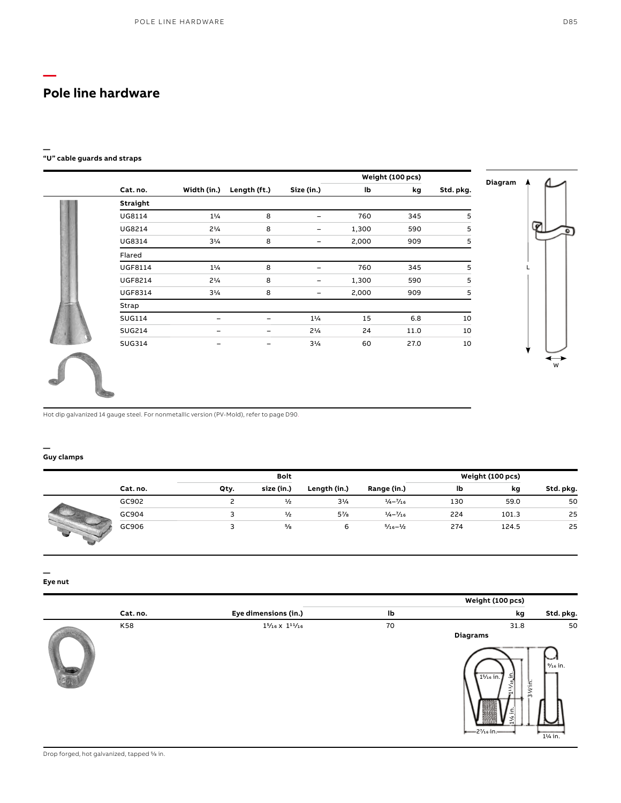**—**

#### **— "U" cable guards and straps**

|           | Weight (100 pcs) |       |                |              |                |                |
|-----------|------------------|-------|----------------|--------------|----------------|----------------|
| Std. pkg. | kg               | lb    | Size (in.)     | Length (ft.) | Width (in.)    | Cat.no.        |
|           |                  |       |                |              |                | Straight       |
| 5         | 345              | 760   | -              | 8            | $1\frac{1}{4}$ | UG8114         |
| 5         | 590              | 1,300 | -              | 8            | $2^{1/4}$      | UG8214         |
| 5         | 909              | 2,000 | -              | 8            | $3^{1/4}$      | UG8314         |
|           |                  |       |                |              |                | Flared         |
| 5         | 345              | 760   | -              | 8            | $1\frac{1}{4}$ | <b>UGF8114</b> |
| 5         | 590              | 1,300 |                | 8            | $2^{1/4}$      | <b>UGF8214</b> |
| 5         | 909              | 2,000 |                | 8            | $3^{1/4}$      | <b>UGF8314</b> |
|           |                  |       |                |              |                | Strap          |
| 10        | 6.8              | 15    | $1\frac{1}{4}$ |              |                | <b>SUG114</b>  |
| 10        | 11.0             | 24    | $2^{1/4}$      | -            |                | <b>SUG214</b>  |
| 10        | 27.0             | 60    | $3^{1/4}$      | -            |                | <b>SUG314</b>  |



Hot dip galvanized 14 gauge steel. For nonmetallic version (PV-Mold), refer to page D90.

#### **— Guy clamps**

|          | <b>Bolt</b> |               |                |                              | Weight (100 pcs) |       |           |  |
|----------|-------------|---------------|----------------|------------------------------|------------------|-------|-----------|--|
| Cat. no. | Qty.        | size (in.)    | Length (in.)   | Range (in.)                  | lb               | kg    | Std. pkg. |  |
| GC902    |             | $\frac{1}{2}$ | $3^{1/4}$      | $\frac{1}{4} - \frac{7}{16}$ | 130              | 59.0  | 50        |  |
| GC904    |             | $\frac{1}{2}$ | $5\frac{7}{8}$ | $\frac{1}{4} - \frac{7}{16}$ | 224              | 101.3 | 25        |  |
| GC906    | ∍           | $\frac{5}{8}$ | 6              | $\frac{5}{16} - \frac{1}{2}$ | 274              | 124.5 | 25        |  |

**— Eye nut**

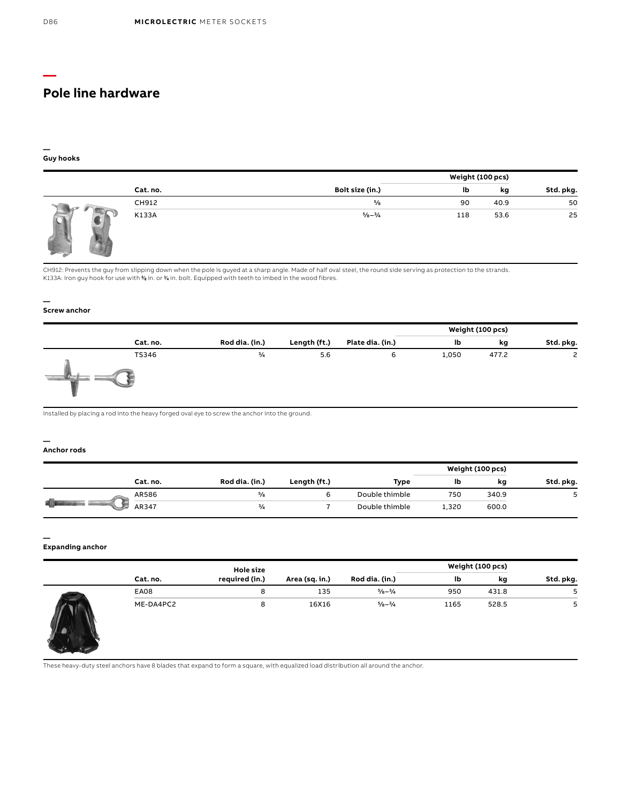#### **— Guy hooks**

|          |                             | Weight (100 pcs) |      |           |
|----------|-----------------------------|------------------|------|-----------|
| Cat. no. | Bolt size (in.)             | lb               | kg   | Std. pkg. |
| CH912    | $\frac{5}{8}$               | 90               | 40.9 | 50        |
| K133A    | $\frac{5}{8} - \frac{3}{4}$ | 118              | 53.6 | 25        |

CH912: Prevents the guy from slipping down when the pole is guyed at a sharp angle. Made of half oval steel, the round side serving as protection to the strands. K133A: Iron guy hook for use with % in. or % in. bolt. Equipped with teeth to imbed in the wood fibres.

#### **— Screw anchor**

|          |                |              |                  |       | Weight (100 pcs) |           |
|----------|----------------|--------------|------------------|-------|------------------|-----------|
| Cat. no. | Rod dia. (in.) | Length (ft.) | Plate dia. (in.) | Ib    | kg               | Std. pkg. |
| TS346    | $\frac{3}{4}$  | 5.6          | 6                | 1,050 | 477.2            | 2         |

Installed by placing a rod into the heavy forged oval eye to screw the anchor into the ground.

#### **— Anchor rods**

|  |          |                |              |                | Weight (100 pcs) |       |           |
|--|----------|----------------|--------------|----------------|------------------|-------|-----------|
|  | Cat. no. | Rod dia. (in.) | Length (ft.) | Type           | Ib               | kg    | Std. pkg. |
|  | AR586    | $^{5}/_{8}$    |              | Double thimble | 750              | 340.9 | پ         |
|  | AR347    | $\frac{3}{4}$  |              | Double thimble | 1,320            | 600.0 |           |

#### **— Expanding anchor**

|                 |             | <b>Hole size</b> |                |                             | Weight (100 pcs) |       |           |
|-----------------|-------------|------------------|----------------|-----------------------------|------------------|-------|-----------|
|                 | Cat. no.    | required (in.)   | Area (sq. in.) | Rod dia. (in.)              | Ib               | kg    | Std. pkg. |
| <b>Property</b> | <b>EA08</b> | 8                | 135            | $\frac{5}{8} - \frac{3}{4}$ | 950              | 431.8 |           |
|                 | ME-DA4PC2   | 8                | 16X16          | $\frac{5}{8} - \frac{3}{4}$ | 1165             | 528.5 | 5         |

These heavy-duty steel anchors have 8 blades that expand to form a square, with equalized load distribution all around the anchor.